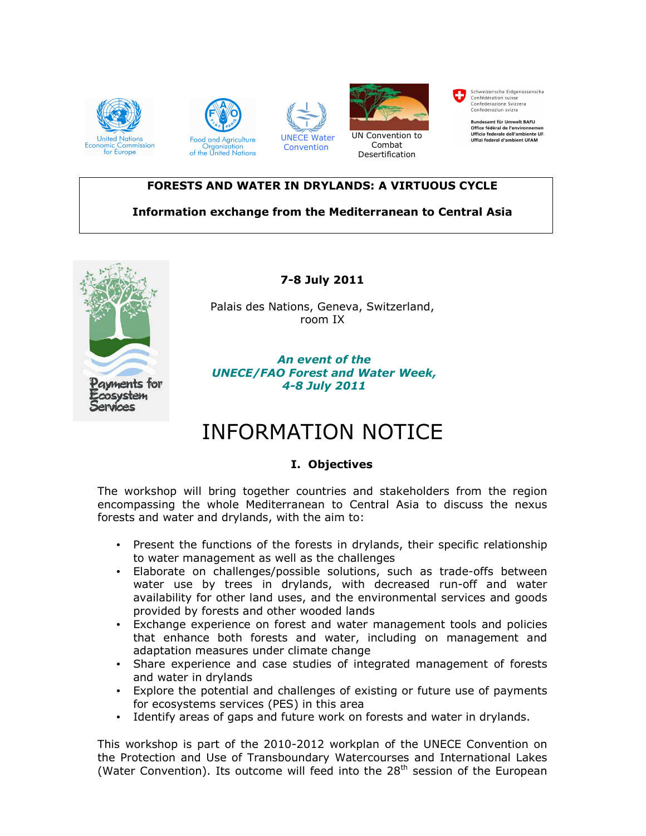

#### FORESTS AND WATER IN DRYLANDS: A VIRTUOUS CYCLE

# Information exchange from the Mediterranean to Central Asia



7-8 July 2011

Palais des Nations, Geneva, Switzerland, room IX

#### An event of the UNECE/FAO Forest and Water Week, 4-8 July 2011

# INFORMATION NOTICE

## I. Objectives

The workshop will bring together countries and stakeholders from the region encompassing the whole Mediterranean to Central Asia to discuss the nexus forests and water and drylands, with the aim to:

- Present the functions of the forests in drylands, their specific relationship to water management as well as the challenges
- Elaborate on challenges/possible solutions, such as trade-offs between water use by trees in drylands, with decreased run-off and water availability for other land uses, and the environmental services and goods provided by forests and other wooded lands
- Exchange experience on forest and water management tools and policies that enhance both forests and water, including on management and adaptation measures under climate change
- Share experience and case studies of integrated management of forests and water in drylands
- Explore the potential and challenges of existing or future use of payments for ecosystems services (PES) in this area
- Identify areas of gaps and future work on forests and water in drylands.

This workshop is part of the 2010-2012 workplan of the UNECE Convention on the Protection and Use of Transboundary Watercourses and International Lakes (Water Convention). Its outcome will feed into the  $28<sup>th</sup>$  session of the European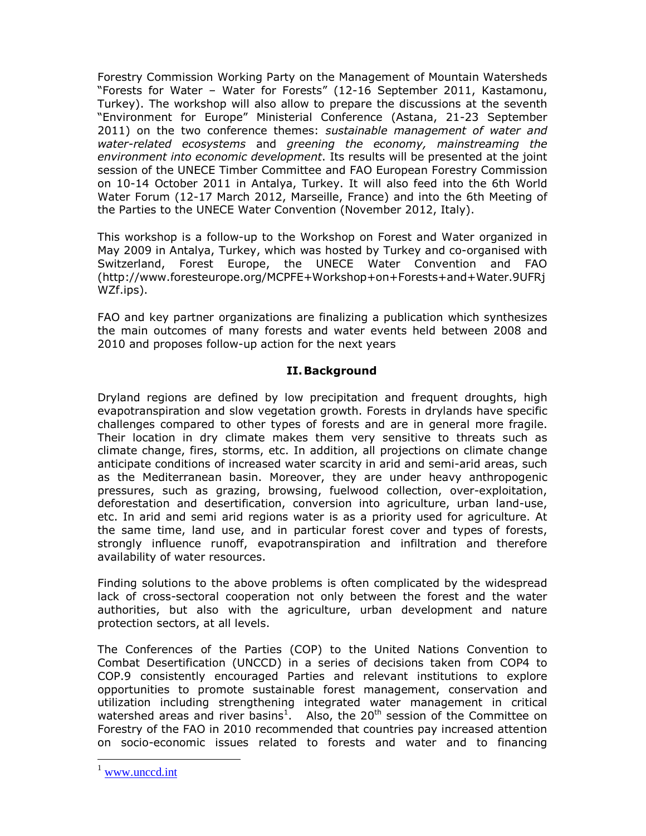Forestry Commission Working Party on the Management of Mountain Watersheds "Forests for Water – Water for Forests" (12-16 September 2011, Kastamonu, Turkey). The workshop will also allow to prepare the discussions at the seventh "Environment for Europe" Ministerial Conference (Astana, 21-23 September 2011) on the two conference themes: sustainable management of water and water-related ecosystems and greening the economy, mainstreaming the environment into economic development. Its results will be presented at the joint session of the UNECE Timber Committee and FAO European Forestry Commission on 10-14 October 2011 in Antalya, Turkey. It will also feed into the 6th World Water Forum (12-17 March 2012, Marseille, France) and into the 6th Meeting of the Parties to the UNECE Water Convention (November 2012, Italy).

This workshop is a follow-up to the Workshop on Forest and Water organized in May 2009 in Antalya, Turkey, which was hosted by Turkey and co-organised with Switzerland, Forest Europe, the UNECE Water Convention and FAO (http://www.foresteurope.org/MCPFE+Workshop+on+Forests+and+Water.9UFRj WZf.ips).

FAO and key partner organizations are finalizing a publication which synthesizes the main outcomes of many forests and water events held between 2008 and 2010 and proposes follow-up action for the next years

## II.Background

Dryland regions are defined by low precipitation and frequent droughts, high evapotranspiration and slow vegetation growth. Forests in drylands have specific challenges compared to other types of forests and are in general more fragile. Their location in dry climate makes them very sensitive to threats such as climate change, fires, storms, etc. In addition, all projections on climate change anticipate conditions of increased water scarcity in arid and semi-arid areas, such as the Mediterranean basin. Moreover, they are under heavy anthropogenic pressures, such as grazing, browsing, fuelwood collection, over-exploitation, deforestation and desertification, conversion into agriculture, urban land-use, etc. In arid and semi arid regions water is as a priority used for agriculture. At the same time, land use, and in particular forest cover and types of forests, strongly influence runoff, evapotranspiration and infiltration and therefore availability of water resources.

Finding solutions to the above problems is often complicated by the widespread lack of cross-sectoral cooperation not only between the forest and the water authorities, but also with the agriculture, urban development and nature protection sectors, at all levels.

The Conferences of the Parties (COP) to the United Nations Convention to Combat Desertification (UNCCD) in a series of decisions taken from COP4 to COP.9 consistently encouraged Parties and relevant institutions to explore opportunities to promote sustainable forest management, conservation and utilization including strengthening integrated water management in critical watershed areas and river basins<sup>1</sup>. Also, the 20<sup>th</sup> session of the Committee on Forestry of the FAO in 2010 recommended that countries pay increased attention on socio-economic issues related to forests and water and to financing

-

www.unccd.int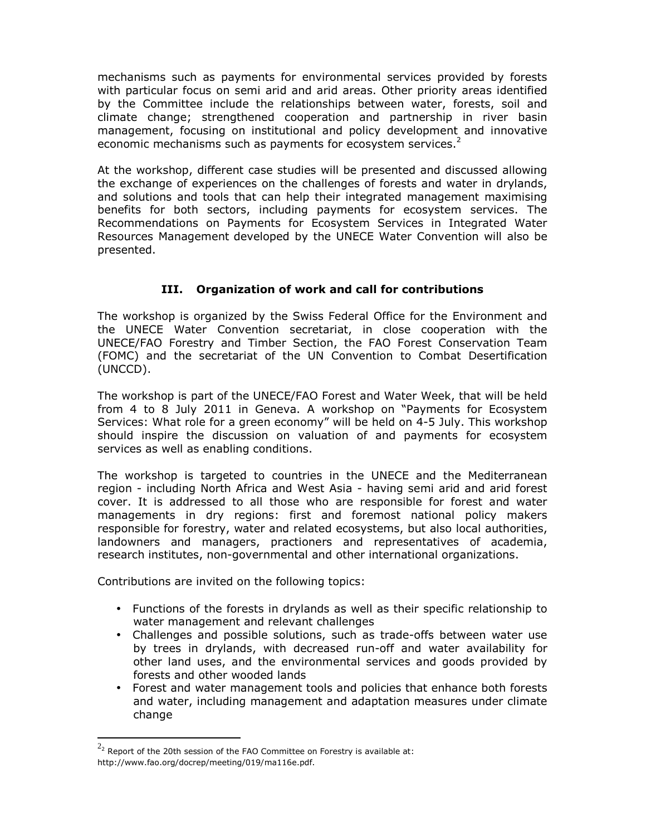mechanisms such as payments for environmental services provided by forests with particular focus on semi arid and arid areas. Other priority areas identified by the Committee include the relationships between water, forests, soil and climate change; strengthened cooperation and partnership in river basin management, focusing on institutional and policy development and innovative economic mechanisms such as payments for ecosystem services.<sup>2</sup>

At the workshop, different case studies will be presented and discussed allowing the exchange of experiences on the challenges of forests and water in drylands, and solutions and tools that can help their integrated management maximising benefits for both sectors, including payments for ecosystem services. The Recommendations on Payments for Ecosystem Services in Integrated Water Resources Management developed by the UNECE Water Convention will also be presented.

# III. Organization of work and call for contributions

The workshop is organized by the Swiss Federal Office for the Environment and the UNECE Water Convention secretariat, in close cooperation with the UNECE/FAO Forestry and Timber Section, the FAO Forest Conservation Team (FOMC) and the secretariat of the UN Convention to Combat Desertification (UNCCD).

The workshop is part of the UNECE/FAO Forest and Water Week, that will be held from 4 to 8 July 2011 in Geneva. A workshop on "Payments for Ecosystem Services: What role for a green economy" will be held on 4-5 July. This workshop should inspire the discussion on valuation of and payments for ecosystem services as well as enabling conditions.

The workshop is targeted to countries in the UNECE and the Mediterranean region - including North Africa and West Asia - having semi arid and arid forest cover. It is addressed to all those who are responsible for forest and water managements in dry regions: first and foremost national policy makers responsible for forestry, water and related ecosystems, but also local authorities, landowners and managers, practioners and representatives of academia, research institutes, non-governmental and other international organizations.

Contributions are invited on the following topics:

- Functions of the forests in drylands as well as their specific relationship to water management and relevant challenges
- Challenges and possible solutions, such as trade-offs between water use by trees in drylands, with decreased run-off and water availability for other land uses, and the environmental services and goods provided by forests and other wooded lands
- Forest and water management tools and policies that enhance both forests and water, including management and adaptation measures under climate change

-

 $^{2_2}$  Report of the 20th session of the FAO Committee on Forestry is available at: http://www.fao.org/docrep/meeting/019/ma116e.pdf.